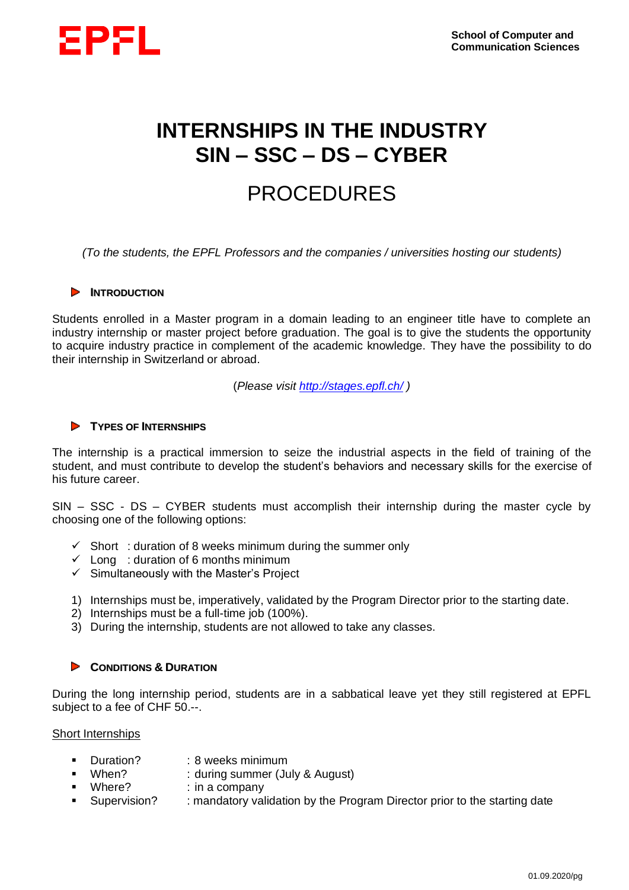

# **INTERNSHIPS IN THE INDUSTRY SIN – SSC – DS – CYBER**

# PROCEDURES

*(To the students, the EPFL Professors and the companies / universities hosting our students)*

# **EXAMPLE INTRODUCTION**

Students enrolled in a Master program in a domain leading to an engineer title have to complete an industry internship or master project before graduation. The goal is to give the students the opportunity to acquire industry practice in complement of the academic knowledge. They have the possibility to do their internship in Switzerland or abroad.

(*Please visit <http://stages.epfl.ch/> )*

# **TYPES OF INTERNSHIPS**

The internship is a practical immersion to seize the industrial aspects in the field of training of the student, and must contribute to develop the student's behaviors and necessary skills for the exercise of his future career.

SIN – SSC - DS – CYBER students must accomplish their internship during the master cycle by choosing one of the following options:

- $\checkmark$  Short: duration of 8 weeks minimum during the summer only
- $\checkmark$  Long: duration of 6 months minimum
- $\checkmark$  Simultaneously with the Master's Project
- 1) Internships must be, imperatively, validated by the Program Director prior to the starting date.
- 2) Internships must be a full-time job (100%).
- 3) During the internship, students are not allowed to take any classes.

#### **CONDITIONS & DURATION**  $\mathcal{L}$

During the long internship period, students are in a sabbatical leave yet they still registered at EPFL subject to a fee of CHF 50.--.

# Short Internships

- Duration? : 8 weeks minimum
- When? : during summer (July & August)
- Where? : in a company
	- Supervision? : mandatory validation by the Program Director prior to the starting date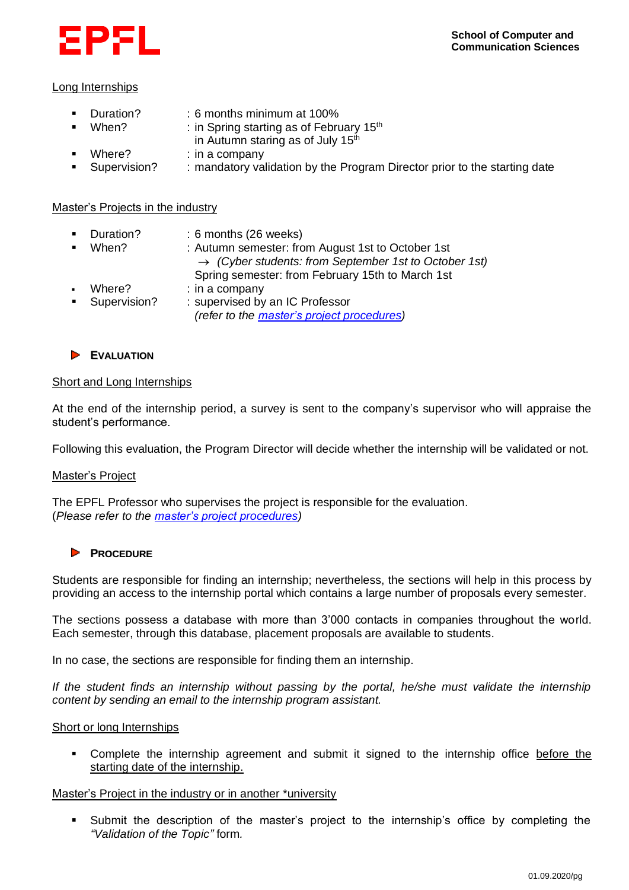

# Long Internships

- Duration? : 6 months minimum at 100%
	- When? : in Spring starting as of February  $15<sup>th</sup>$ in Autumn staring as of July  $15<sup>th</sup>$
- Where? : in a company
- Supervision? : mandatory validation by the Program Director prior to the starting date

# Master's Projects in the industry

- Duration? : 6 months (26 weeks) When? : Autumn semester: from August 1st to October 1st
- → *(Cyber students: from September 1st to October 1st)* Spring semester: from February 15th to March 1st Where? : in a company
- Supervision? : supervised by an IC Professor *(refer to the [master's project procedures\)](https://www.epfl.ch/schools/ic/wp-content/uploads/2021/05/MASTER-THESIS-Regulations-ENG-02.09.2020.pdf)*

# **EVALUATION**

# Short and Long Internships

At the end of the internship period, a survey is sent to the company's supervisor who will appraise the student's performance.

Following this evaluation, the Program Director will decide whether the internship will be validated or not.

# Master's Project

The EPFL Professor who supervises the project is responsible for the evaluation. (*Please refer to the [master's project procedures\)](https://www.epfl.ch/schools/ic/wp-content/uploads/2021/05/MASTER-THESIS-Regulations-ENG-02.09.2020.pdf)*

# **PROCEDURE**

Students are responsible for finding an internship; nevertheless, the sections will help in this process by providing an access to the internship portal which contains a large number of proposals every semester.

The sections possess a database with more than 3'000 contacts in companies throughout the world. Each semester, through this database, placement proposals are available to students.

In no case, the sections are responsible for finding them an internship.

*If the student finds an internship without passing by the portal, he/she must validate the internship content by sending an email to the internship program assistant.*

# Short or long Internships

▪ Complete the internship agreement and submit it signed to the internship office before the starting date of the internship.

# Master's Project in the industry or in another \*university

▪ Submit the description of the master's project to the internship's office by completing the *"Validation of the Topic"* form*.*